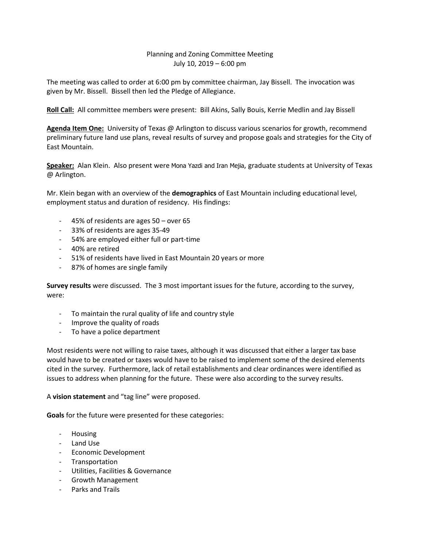## Planning and Zoning Committee Meeting July 10, 2019 – 6:00 pm

The meeting was called to order at 6:00 pm by committee chairman, Jay Bissell. The invocation was given by Mr. Bissell. Bissell then led the Pledge of Allegiance.

**Roll Call:** All committee members were present: Bill Akins, Sally Bouis, Kerrie Medlin and Jay Bissell

**Agenda Item One:** University of Texas @ Arlington to discuss various scenarios for growth, recommend preliminary future land use plans, reveal results of survey and propose goals and strategies for the City of East Mountain.

**Speaker:** Alan Klein. Also present were Mona Yazdi and Iran Mejia, graduate students at University of Texas @ Arlington.

Mr. Klein began with an overview of the **demographics** of East Mountain including educational level, employment status and duration of residency. His findings:

- 45% of residents are ages 50 over 65
- 33% of residents are ages 35-49
- 54% are employed either full or part-time
- 40% are retired
- 51% of residents have lived in East Mountain 20 years or more
- 87% of homes are single family

**Survey results** were discussed. The 3 most important issues for the future, according to the survey, were:

- To maintain the rural quality of life and country style
- Improve the quality of roads
- To have a police department

Most residents were not willing to raise taxes, although it was discussed that either a larger tax base would have to be created or taxes would have to be raised to implement some of the desired elements cited in the survey. Furthermore, lack of retail establishments and clear ordinances were identified as issues to address when planning for the future. These were also according to the survey results.

## A **vision statement** and "tag line" were proposed.

**Goals** for the future were presented for these categories:

- Housing
- Land Use
- Economic Development
- **Transportation**
- Utilities, Facilities & Governance
- Growth Management
- Parks and Trails